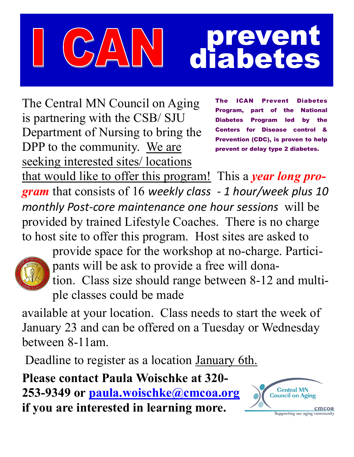## prevent diabetes

The Central MN Council on Aging is partnering with the CSB/ SJU Department of Nursing to bring the DPP to the community. We are seeking interested sites/ locations

**ICAN Prevent Diabetes** Program, part of the National Diabetes Program led by the Centers for Disease control & Prevention (CDC), is proven to help prevent or delay type 2 diabetes.

that would like to offer this program! This a *year long program* that consists of 16 *weekly class - 1 hour/week plus 10 monthly Post-core maintenance one hour sessions* will be provided by trained Lifestyle Coaches. There is no charge to host site to offer this program. Host sites are asked to



provide space for the workshop at no-charge. Participants will be ask to provide a free will donation. Class size should range between 8-12 and multiple classes could be made

available at your location. Class needs to start the week of January 23 and can be offered on a Tuesday or Wednesday between 8-11am.

Deadline to register as a location January 6th.

**Please contact Paula Woischke at 320- 253-9349 or [paula.woischke@cmcoa.org](mailto:paula.woischke@cmcoa.org) if you are interested in learning more.**